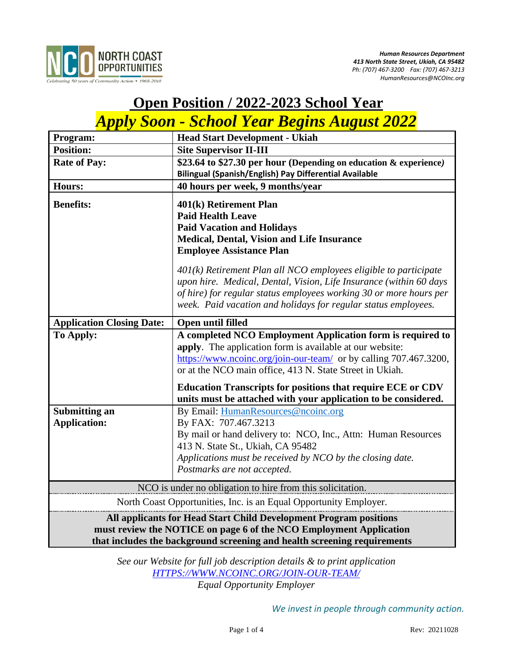

# **Open Position / 2022-2023 School Year**  *Apply Soon - School Year Begins August 2022*

| Program:                                                                 | <b>Head Start Development - Ukiah</b>                                                                                                                                                                                                                                            |
|--------------------------------------------------------------------------|----------------------------------------------------------------------------------------------------------------------------------------------------------------------------------------------------------------------------------------------------------------------------------|
| <b>Position:</b>                                                         | <b>Site Supervisor II-III</b>                                                                                                                                                                                                                                                    |
| <b>Rate of Pay:</b>                                                      | \$23.64 to \$27.30 per hour (Depending on education & experience)                                                                                                                                                                                                                |
|                                                                          | Bilingual (Spanish/English) Pay Differential Available                                                                                                                                                                                                                           |
| <b>Hours:</b>                                                            | 40 hours per week, 9 months/year                                                                                                                                                                                                                                                 |
| <b>Benefits:</b>                                                         | 401(k) Retirement Plan                                                                                                                                                                                                                                                           |
|                                                                          | <b>Paid Health Leave</b>                                                                                                                                                                                                                                                         |
|                                                                          | <b>Paid Vacation and Holidays</b>                                                                                                                                                                                                                                                |
|                                                                          | <b>Medical, Dental, Vision and Life Insurance</b>                                                                                                                                                                                                                                |
|                                                                          | <b>Employee Assistance Plan</b>                                                                                                                                                                                                                                                  |
|                                                                          | $401(k)$ Retirement Plan all NCO employees eligible to participate<br>upon hire. Medical, Dental, Vision, Life Insurance (within 60 days<br>of hire) for regular status employees working 30 or more hours per<br>week. Paid vacation and holidays for regular status employees. |
| <b>Application Closing Date:</b>                                         | Open until filled                                                                                                                                                                                                                                                                |
| To Apply:                                                                | A completed NCO Employment Application form is required to<br>apply. The application form is available at our website:<br>https://www.ncoinc.org/join-our-team/ or by calling 707.467.3200,<br>or at the NCO main office, 413 N. State Street in Ukiah.                          |
|                                                                          | <b>Education Transcripts for positions that require ECE or CDV</b><br>units must be attached with your application to be considered.                                                                                                                                             |
| <b>Submitting an</b>                                                     | By Email: HumanResources@ncoinc.org                                                                                                                                                                                                                                              |
| <b>Application:</b>                                                      | By FAX: 707.467.3213                                                                                                                                                                                                                                                             |
|                                                                          | By mail or hand delivery to: NCO, Inc., Attn: Human Resources                                                                                                                                                                                                                    |
|                                                                          | 413 N. State St., Ukiah, CA 95482                                                                                                                                                                                                                                                |
|                                                                          | Applications must be received by NCO by the closing date.                                                                                                                                                                                                                        |
|                                                                          | Postmarks are not accepted.                                                                                                                                                                                                                                                      |
| NCO is under no obligation to hire from this solicitation.               |                                                                                                                                                                                                                                                                                  |
| North Coast Opportunities, Inc. is an Equal Opportunity Employer.        |                                                                                                                                                                                                                                                                                  |
| All applicants for Head Start Child Development Program positions        |                                                                                                                                                                                                                                                                                  |
| must review the NOTICE on page 6 of the NCO Employment Application       |                                                                                                                                                                                                                                                                                  |
| that includes the background screening and health screening requirements |                                                                                                                                                                                                                                                                                  |

*See our Website for full job description details & to print application [HTTPS://WWW.NCOINC.ORG/JOIN-OUR-TEAM/](https://www.ncoinc.org/join-our-team/) Equal Opportunity Employer*

*We invest in people through community action.*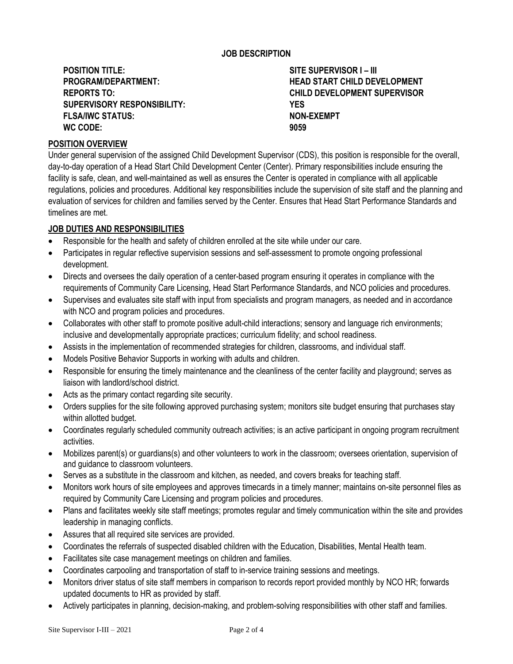## **JOB DESCRIPTION**

**POSITION TITLE: SITE SUPERVISOR I – III SUPERVISORY RESPONSIBILITY: YES** FLSA/IWC STATUS: **NON-EXEMPT WC CODE: 9059**

**PROGRAM/DEPARTMENT: HEAD START CHILD DEVELOPMENT REPORTS TO: CHILD DEVELOPMENT SUPERVISOR**

## **POSITION OVERVIEW**

Under general supervision of the assigned Child Development Supervisor (CDS), this position is responsible for the overall, day-to-day operation of a Head Start Child Development Center (Center). Primary responsibilities include ensuring the facility is safe, clean, and well-maintained as well as ensures the Center is operated in compliance with all applicable regulations, policies and procedures. Additional key responsibilities include the supervision of site staff and the planning and evaluation of services for children and families served by the Center. Ensures that Head Start Performance Standards and timelines are met.

#### **JOB DUTIES AND RESPONSIBILITIES**

- Responsible for the health and safety of children enrolled at the site while under our care.
- Participates in regular reflective supervision sessions and self-assessment to promote ongoing professional development.
- Directs and oversees the daily operation of a center-based program ensuring it operates in compliance with the requirements of Community Care Licensing, Head Start Performance Standards, and NCO policies and procedures.
- Supervises and evaluates site staff with input from specialists and program managers, as needed and in accordance with NCO and program policies and procedures.
- Collaborates with other staff to promote positive adult-child interactions; sensory and language rich environments; inclusive and developmentally appropriate practices; curriculum fidelity; and school readiness.
- Assists in the implementation of recommended strategies for children, classrooms, and individual staff.
- Models Positive Behavior Supports in working with adults and children.
- Responsible for ensuring the timely maintenance and the cleanliness of the center facility and playground; serves as liaison with landlord/school district.
- Acts as the primary contact regarding site security.
- Orders supplies for the site following approved purchasing system; monitors site budget ensuring that purchases stay within allotted budget.
- Coordinates regularly scheduled community outreach activities; is an active participant in ongoing program recruitment activities.
- Mobilizes parent(s) or guardians(s) and other volunteers to work in the classroom; oversees orientation, supervision of and guidance to classroom volunteers.
- Serves as a substitute in the classroom and kitchen, as needed, and covers breaks for teaching staff.
- Monitors work hours of site employees and approves timecards in a timely manner; maintains on-site personnel files as required by Community Care Licensing and program policies and procedures.
- Plans and facilitates weekly site staff meetings; promotes regular and timely communication within the site and provides leadership in managing conflicts.
- Assures that all required site services are provided.
- Coordinates the referrals of suspected disabled children with the Education, Disabilities, Mental Health team.
- Facilitates site case management meetings on children and families.
- Coordinates carpooling and transportation of staff to in-service training sessions and meetings.
- Monitors driver status of site staff members in comparison to records report provided monthly by NCO HR; forwards updated documents to HR as provided by staff.
- Actively participates in planning, decision-making, and problem-solving responsibilities with other staff and families.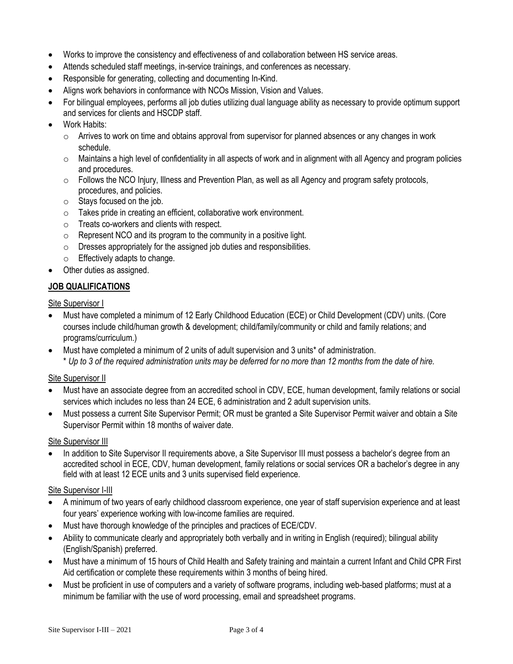- Works to improve the consistency and effectiveness of and collaboration between HS service areas.
- Attends scheduled staff meetings, in-service trainings, and conferences as necessary.
- Responsible for generating, collecting and documenting In-Kind.
- Aligns work behaviors in conformance with NCOs Mission, Vision and Values.
- For bilingual employees, performs all job duties utilizing dual language ability as necessary to provide optimum support and services for clients and HSCDP staff.
- Work Habits:
	- $\circ$  Arrives to work on time and obtains approval from supervisor for planned absences or any changes in work schedule.
	- $\circ$  Maintains a high level of confidentiality in all aspects of work and in alignment with all Agency and program policies and procedures.
	- o Follows the NCO Injury, Illness and Prevention Plan, as well as all Agency and program safety protocols, procedures, and policies.
	- o Stays focused on the job.
	- o Takes pride in creating an efficient, collaborative work environment.
	- o Treats co-workers and clients with respect.
	- $\circ$  Represent NCO and its program to the community in a positive light.
	- o Dresses appropriately for the assigned job duties and responsibilities.
	- o Effectively adapts to change.
- Other duties as assigned.

# **JOB QUALIFICATIONS**

Site Supervisor I

- Must have completed a minimum of 12 Early Childhood Education (ECE) or Child Development (CDV) units. (Core courses include child/human growth & development; child/family/community or child and family relations; and programs/curriculum.)
- Must have completed a minimum of 2 units of adult supervision and 3 units<sup>\*</sup> of administration. \* *Up to 3 of the required administration units may be deferred for no more than 12 months from the date of hire.*

# **Site Supervisor II**

- Must have an associate degree from an accredited school in CDV, ECE, human development, family relations or social services which includes no less than 24 ECE, 6 administration and 2 adult supervision units.
- Must possess a current Site Supervisor Permit; OR must be granted a Site Supervisor Permit waiver and obtain a Site Supervisor Permit within 18 months of waiver date.

Site Supervisor III

• In addition to Site Supervisor II requirements above, a Site Supervisor III must possess a bachelor's degree from an accredited school in ECE, CDV, human development, family relations or social services OR a bachelor's degree in any field with at least 12 ECE units and 3 units supervised field experience.

# Site Supervisor I-III

- A minimum of two years of early childhood classroom experience, one year of staff supervision experience and at least four years' experience working with low-income families are required.
- Must have thorough knowledge of the principles and practices of ECE/CDV.
- Ability to communicate clearly and appropriately both verbally and in writing in English (required); bilingual ability (English/Spanish) preferred.
- Must have a minimum of 15 hours of Child Health and Safety training and maintain a current Infant and Child CPR First Aid certification or complete these requirements within 3 months of being hired.
- Must be proficient in use of computers and a variety of software programs, including web-based platforms; must at a minimum be familiar with the use of word processing, email and spreadsheet programs.